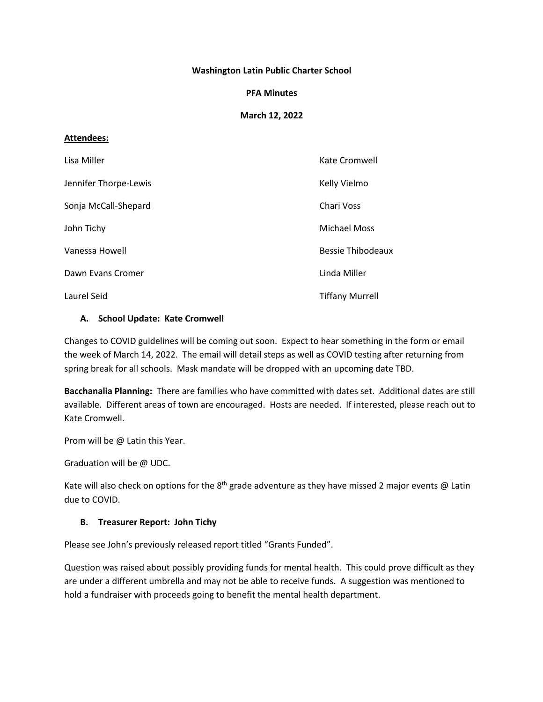### **Washington Latin Public Charter School**

#### **PFA Minutes**

## **March 12, 2022**

#### **Attendees:**

| Lisa Miller           | Kate Cromwell            |
|-----------------------|--------------------------|
| Jennifer Thorpe-Lewis | Kelly Vielmo             |
| Sonja McCall-Shepard  | Chari Voss               |
| John Tichy            | <b>Michael Moss</b>      |
| Vanessa Howell        | <b>Bessie Thibodeaux</b> |
| Dawn Evans Cromer     | Linda Miller             |
| Laurel Seid           | <b>Tiffany Murrell</b>   |

#### **A. School Update: Kate Cromwell**

Changes to COVID guidelines will be coming out soon. Expect to hear something in the form or email the week of March 14, 2022. The email will detail steps as well as COVID testing after returning from spring break for all schools. Mask mandate will be dropped with an upcoming date TBD.

**Bacchanalia Planning:** There are families who have committed with dates set. Additional dates are still available. Different areas of town are encouraged. Hosts are needed. If interested, please reach out to Kate Cromwell.

Prom will be @ Latin this Year.

Graduation will be @ UDC.

Kate will also check on options for the  $8<sup>th</sup>$  grade adventure as they have missed 2 major events @ Latin due to COVID.

## **B. Treasurer Report: John Tichy**

Please see John's previously released report titled "Grants Funded".

Question was raised about possibly providing funds for mental health. This could prove difficult as they are under a different umbrella and may not be able to receive funds. A suggestion was mentioned to hold a fundraiser with proceeds going to benefit the mental health department.